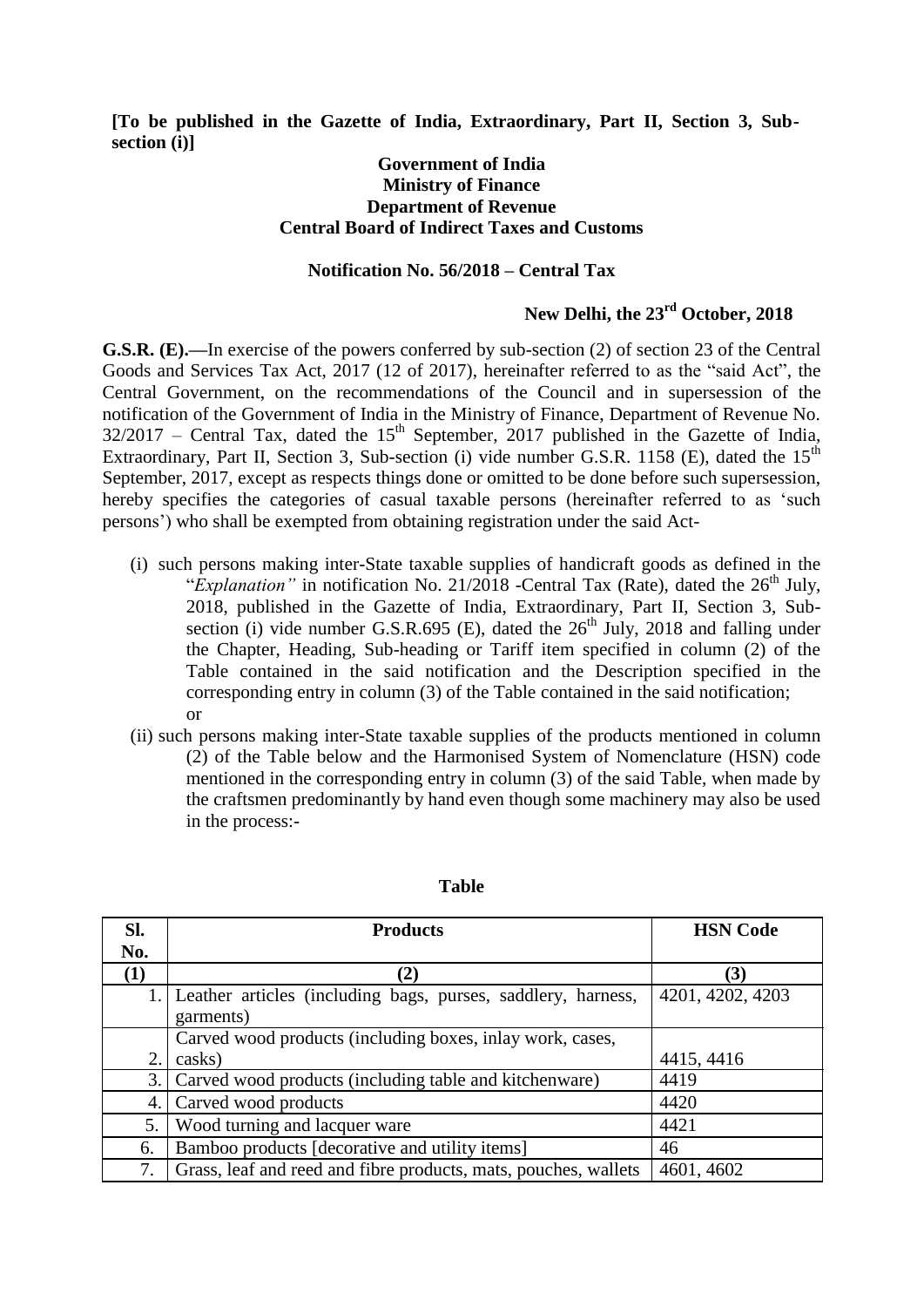**[To be published in the Gazette of India, Extraordinary, Part II, Section 3, Subsection (i)]**

## **Government of India Ministry of Finance Department of Revenue Central Board of Indirect Taxes and Customs**

## **Notification No. 56/2018 – Central Tax**

## **New Delhi, the 23rd October, 2018**

**G.S.R. (E).—**In exercise of the powers conferred by sub-section (2) of section 23 of the Central Goods and Services Tax Act, 2017 (12 of 2017), hereinafter referred to as the "said Act", the Central Government, on the recommendations of the Council and in supersession of the notification of the Government of India in the Ministry of Finance, Department of Revenue No.  $32/2017$  – Central Tax, dated the  $15<sup>th</sup>$  September, 2017 published in the Gazette of India, Extraordinary, Part II, Section 3, Sub-section (i) vide number G.S.R. 1158 (E), dated the  $15<sup>th</sup>$ September, 2017, except as respects things done or omitted to be done before such supersession, hereby specifies the categories of casual taxable persons (hereinafter referred to as "such persons") who shall be exempted from obtaining registration under the said Act-

- (i) such persons making inter-State taxable supplies of handicraft goods as defined in the "*Explanation*" in notification No. 21/2018 -Central Tax (Rate), dated the 26<sup>th</sup> July, 2018, published in the Gazette of India, Extraordinary, Part II, Section 3, Subsection (i) vide number G.S.R.695 (E), dated the  $26<sup>th</sup>$  July, 2018 and falling under the Chapter, Heading, Sub-heading or Tariff item specified in column (2) of the Table contained in the said notification and the Description specified in the corresponding entry in column (3) of the Table contained in the said notification; or
- (ii) such persons making inter-State taxable supplies of the products mentioned in column (2) of the Table below and the Harmonised System of Nomenclature (HSN) code mentioned in the corresponding entry in column (3) of the said Table, when made by the craftsmen predominantly by hand even though some machinery may also be used in the process:-

| SI. | <b>Products</b>                                                 | <b>HSN</b> Code  |
|-----|-----------------------------------------------------------------|------------------|
| No. |                                                                 |                  |
| (1) | $\mathbf{2}$                                                    | (3)              |
|     | 1. Leather articles (including bags, purses, saddlery, harness, | 4201, 4202, 4203 |
|     | garments)                                                       |                  |
|     | Carved wood products (including boxes, inlay work, cases,       |                  |
| 2.  | casks)                                                          | 4415, 4416       |
| 3.  | Carved wood products (including table and kitchenware)          | 4419             |
|     | 4. Carved wood products                                         | 4420             |
| 5.  | Wood turning and lacquer ware                                   | 4421             |
| 6.  | Bamboo products [decorative and utility items]                  | 46               |
| 7.  | Grass, leaf and reed and fibre products, mats, pouches, wallets | 4601, 4602       |

## **Table**